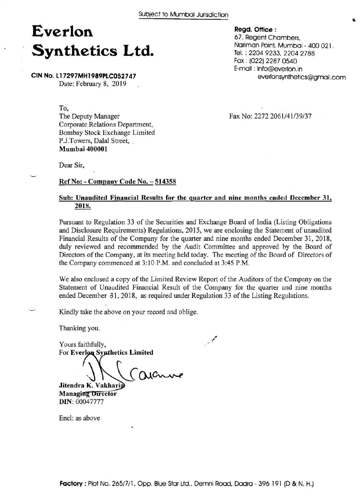## **Everlon Synthetics Ltd.**

**CIN No. L17297MH1989PLC052747**  Date: February 8, 2019

To,

The Deputy Manager Corporate Relations Department, Bombay Stock Exchange Limited P.J.Towers, Dalal Street, . **Mumbai 400001** 

Fax No: 2272 2061/41/39/37

**Regd. Office** :

67, Regent Chambers,

Fax : (022) 2287 0540 E-mail : info@everlon.in

Tel. : 2204 9233, 2204 2788

Nariman Point, Mumbai - 400 021.

everlonsynthetics@gmail.com

Dear Sir,

 $\overline{\phantom{0}}$ 

#### **Ref No:** - **Company Code No.** - **<sup>514358</sup>**

#### **Sub: Unaudited Financial Results for the quarter and nine months ended December 31, 2018.**

Pursuant to Regulation 33 of the Securities and Exchange Board of India (Listing Obligations and Disclosure Requirements) Regulations, 2015, we are enclosing the Statement of unaudited Financial Results of the Company for the quarter and nine months ended December 31, 2018, duly reviewed and recommended by the Audit Committee and approved by the Board of Directors of the Company, at its meeting held today. The meeting of the Board of Directors of the Company commenced at 3:10 P.M. and concluded at 3:45 P.M.

We also enclosed a copy of the Limited Review Report of the Auditors of the Company on the Statement of Unaudited Financial Result of the Company for the quarter and nine months ended December 31, 2018, as required under Regulation 33 of the Listing Regulations.

Kindly take the above on your record and oblige.

Thanking you.

Yours faithfully, For **Everlon** Synthetics Limited

 $\bigcup_{\text{Jitendra K. Vakhari}\in\mathcal{O}$ 

**Managing Director DIN:** 60047777

Encl: as above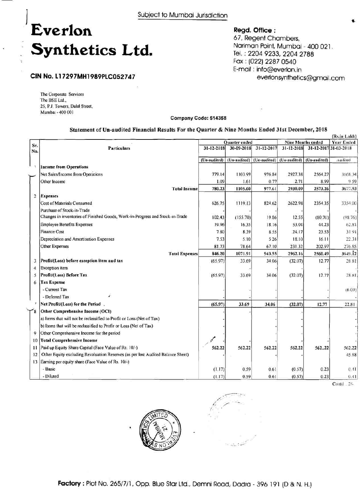# **I Everlon**  Synthetics Ltd.

**Regd. Office** : 67, Regent Chambers, Nariman Point, Mumbai - 400 021. Tel. : 2204 9233, 2204 2788 Fax : (022) 2287 0540 E-mail : info@everlon.in everlonsynthetics@gmail.com

### **CIN No. L17297MHl989PLC052747**

The Corporate Services The BSE Ltd., 25, **P.J.** Towers, Dalal Street, Mumbai - 400 001

**Company Code: 514358** 

#### **Statement of Un-audited Financial Results For the Quarter** & **Nine Months Ended 31st December, 2018**

|                |                                                                                 |               |                           |            |                          |              | (Rs.in Lakh)          |
|----------------|---------------------------------------------------------------------------------|---------------|---------------------------|------------|--------------------------|--------------|-----------------------|
|                |                                                                                 | Quarter ended |                           |            | <b>Nine Months ended</b> |              | <b>Year Ended</b>     |
| Sr.<br>No.     | <b>Particulars</b>                                                              | 31-12-2018    | 30-09-2018                | 31-12-2017 | $31 - 12 - 2018$         |              | 31-12-2017 31-03-2018 |
|                |                                                                                 | (Un-audited)  | (Un-audited) (Un-audited) |            | (Un-audited)             | (Un-audited) | Audited               |
| - 11           | <b>Income from Operations</b>                                                   |               |                           |            |                          |              |                       |
|                | Net Sales/Income from Operations                                                | 779.14        | 1103.99                   | 976.84     | 2927.38                  | 2564.27      | 3668.34               |
|                | Other Income                                                                    | 1.09          | 1.61                      | 0.77       | 2.71                     | 8.99         | 959                   |
|                | <b>Total Income</b>                                                             | 780.23        | 1105.60                   | 977.61     | 2930.09                  | 2573.26      | 3677.93               |
| $\overline{2}$ | <b>Expenses</b>                                                                 |               |                           |            |                          |              |                       |
|                | <b>Cost of Materials Consumed</b>                                               | 626.75        | 1119.13                   | 824.62     | 2622.98                  | 2354.35      | 3354.00               |
|                | Purchase of Stock-in-Trade                                                      |               |                           |            |                          |              |                       |
|                | Changes in inventories of Finished Goods, Work-in-Progress and Stock-in-Trade   | 102.43        | (155.70)                  | 19.86      | 12.55                    | (80.70)      | (98.76)               |
|                | <b>Employee Benefits Expenses</b>                                               | 19.96         | 16.35                     | 18.16      | 53.04                    | 44.23        | 62.81                 |
|                | <b>Finance Cost</b>                                                             | 7.80          | 8.39                      | 8.55       | 24.17                    | 23.53        | 3191                  |
|                | Depreciation and Amortisation Expenses                                          | 7.53          | 5:10                      | 5.26       | 18.10                    | 16.11        | 22.31                 |
|                | <b>Other Expenses</b>                                                           | 81.73         | 78.64                     | 67.10      | 231.32                   | 202.97       | 276.85                |
|                | <b>Total Expenses</b>                                                           | 846.20        | 1071.91                   | 943.55     | 2962.16                  | 2560.49      | 3649.12               |
| 3              | Profit/(Loss) before exception item and tax                                     | (65.97)       | 33.69                     | 34.06      | (32.07)                  | 12.77        | 28.81                 |
| 4              | <b>Exception</b> item                                                           |               |                           |            |                          |              |                       |
| 5              | Profit/(Loss) Before Tax                                                        | (65.97)       | 33.69                     | 34.06      | (32.07)                  | 12.77        | 28.81                 |
| 6              | <b>Tax Expense</b>                                                              |               |                           |            |                          |              |                       |
|                | - Current Tax                                                                   |               |                           |            |                          |              | (6.00)                |
|                | - Deferred Tax                                                                  |               |                           |            |                          |              |                       |
|                | Net Profit/(Loss) for the Period.                                               | (65.97)       | 33.69                     | 34.06      | (32.07)                  | 12.77        | 22.81                 |
|                | Other Comprehensive Income (OCI)                                                |               |                           |            |                          |              |                       |
|                | a) Items that will not be reclassified to Profit or Loss (Net of Tax)           |               |                           |            |                          |              |                       |
|                | b) Items that will be reclassified to Profir or Loss (Net of Tax)               |               |                           |            |                          |              |                       |
| 9              | Other Comprehensive Income for the period                                       |               |                           |            |                          |              |                       |
| 10             | <b>Total Comprehensive Income</b>                                               |               |                           |            |                          |              |                       |
| 11             | Paid up Equity Share Capital (Face Value of Rs. 10/-)                           | 562.22        | 562.22                    | 562.22     | 562.22                   | 562.22       | 562.22                |
| 12             | Other Equity excluding Revaluation Reserves (as per last Audited Balance Sheet) |               |                           |            |                          |              | 45.88                 |
| 13             | Earning per equity share (Face Value of Rs. 10/-)                               |               |                           |            |                          |              |                       |
|                | - Basic                                                                         | (1.17)        | 0.59                      | 0.61       | (0.57)                   | 0.23         | 0.41                  |
|                | - Diluted                                                                       | (1.17)        | 0.59                      | 0.61       | (0.57)                   | 0.23         | 0.41                  |

Co~itd . *21-* 

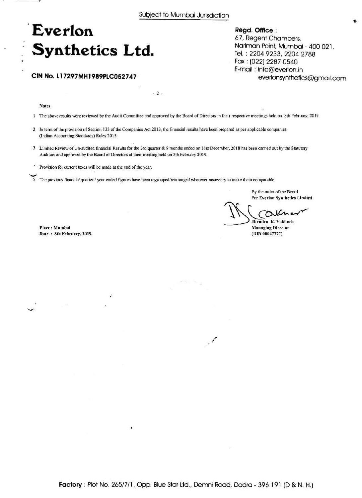## **Everlon**  . **Synthetics Ltd.**

#### **CIN No. 11 7297MH1989PLC052747**

Notes

**1** The above results were reviewed by the Audit Committee and approved by the Board of Directors in their respective meetings held on 8th February, 2019

2 In term ofthe provision of Section 133 of the Companies Act 2013, the financial results have been prepared as per applicable companies (Indian Accounting Standards) Rules 2015.

 $-2$ .

- 3 Limited Review of Un-audited financial Results for the 3rd quarter & 9 months ended on 31st December, 2018 has been carried out by the Statutory Auditors and approved by the Board of Directors at their meeting held on 8th February 2019.
- . Provision for current taxes wiIl be made at the end of the year
- The previous financial quarter / year ended figures have been regrouped/rearranged wherever necessary to make them comparable.

By the order of the Board For Everlon Synthetics Limited

↷ Jitendra **K.** Vaktlaria

**Regd. Office** :

67, Regent Chambers,

Tel. : 2204 9233, 2204 2788 Fax : (022) 2287 0540 E-mail : info@everlon.in

Nariman Point, Mumbai - 400 021.

everlonsynthetics@gmail.com

Managing Director **(DIN 00047777)** 

Place : Mumbai Date : 8th February, **2019.**